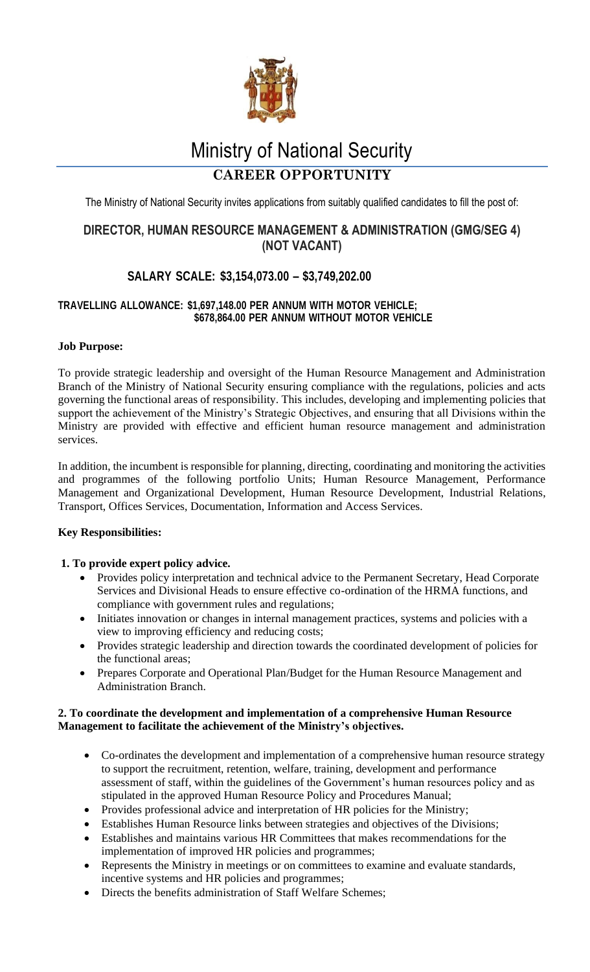

# Ministry of National Security

# **CAREER OPPORTUNITY**

The Ministry of National Security invites applications from suitably qualified candidates to fill the post of:

# **DIRECTOR, HUMAN RESOURCE MANAGEMENT & ADMINISTRATION (GMG/SEG 4) (NOT VACANT)**

# **SALARY SCALE: \$3,154,073.00 – \$3,749,202.00**

## **TRAVELLING ALLOWANCE: \$1,697,148.00 PER ANNUM WITH MOTOR VEHICLE; \$678,864.00 PER ANNUM WITHOUT MOTOR VEHICLE**

# **Job Purpose:**

To provide strategic leadership and oversight of the Human Resource Management and Administration Branch of the Ministry of National Security ensuring compliance with the regulations, policies and acts governing the functional areas of responsibility. This includes, developing and implementing policies that support the achievement of the Ministry's Strategic Objectives, and ensuring that all Divisions within the Ministry are provided with effective and efficient human resource management and administration services.

In addition, the incumbent is responsible for planning, directing, coordinating and monitoring the activities and programmes of the following portfolio Units; Human Resource Management, Performance Management and Organizational Development, Human Resource Development, Industrial Relations, Transport, Offices Services, Documentation, Information and Access Services.

# **Key Responsibilities:**

#### **1. To provide expert policy advice.**

- Provides policy interpretation and technical advice to the Permanent Secretary, Head Corporate Services and Divisional Heads to ensure effective co-ordination of the HRMA functions, and compliance with government rules and regulations;
- Initiates innovation or changes in internal management practices, systems and policies with a view to improving efficiency and reducing costs;
- Provides strategic leadership and direction towards the coordinated development of policies for the functional areas;
- Prepares Corporate and Operational Plan/Budget for the Human Resource Management and Administration Branch.

#### **2. To coordinate the development and implementation of a comprehensive Human Resource Management to facilitate the achievement of the Ministry's objectives.**

- Co-ordinates the development and implementation of a comprehensive human resource strategy to support the recruitment, retention, welfare, training, development and performance assessment of staff, within the guidelines of the Government's human resources policy and as stipulated in the approved Human Resource Policy and Procedures Manual;
- Provides professional advice and interpretation of HR policies for the Ministry;
	- Establishes Human Resource links between strategies and objectives of the Divisions;
- Establishes and maintains various HR Committees that makes recommendations for the implementation of improved HR policies and programmes;
- Represents the Ministry in meetings or on committees to examine and evaluate standards, incentive systems and HR policies and programmes;
- Directs the benefits administration of Staff Welfare Schemes;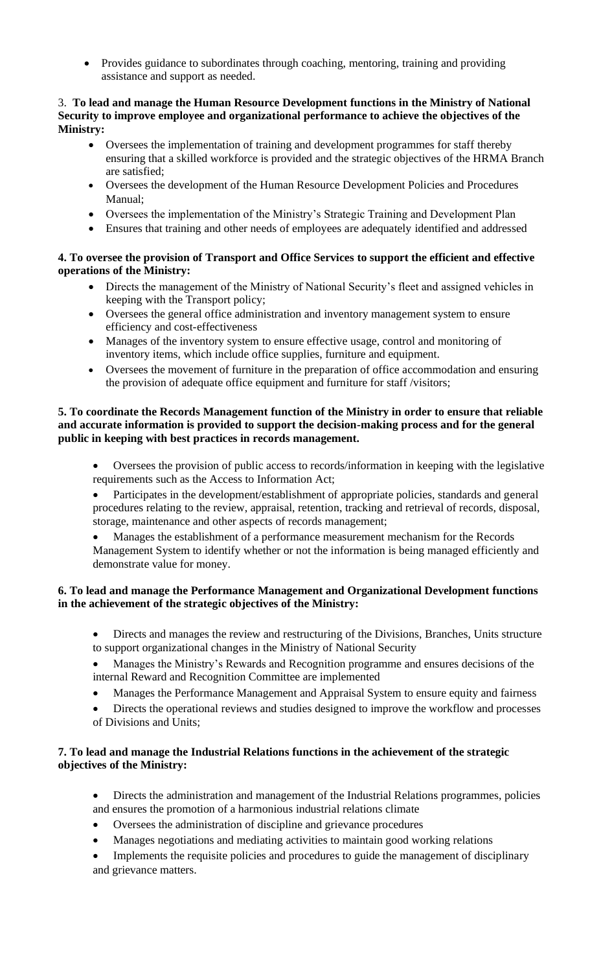• Provides guidance to subordinates through coaching, mentoring, training and providing assistance and support as needed.

#### 3. **To lead and manage the Human Resource Development functions in the Ministry of National Security to improve employee and organizational performance to achieve the objectives of the Ministry:**

- Oversees the implementation of training and development programmes for staff thereby ensuring that a skilled workforce is provided and the strategic objectives of the HRMA Branch are satisfied;
- Oversees the development of the Human Resource Development Policies and Procedures Manual;
- Oversees the implementation of the Ministry's Strategic Training and Development Plan
- Ensures that training and other needs of employees are adequately identified and addressed

## **4. To oversee the provision of Transport and Office Services to support the efficient and effective operations of the Ministry:**

- Directs the management of the Ministry of National Security's fleet and assigned vehicles in keeping with the Transport policy;
- Oversees the general office administration and inventory management system to ensure efficiency and cost-effectiveness
- Manages of the inventory system to ensure effective usage, control and monitoring of inventory items, which include office supplies, furniture and equipment.
- Oversees the movement of furniture in the preparation of office accommodation and ensuring the provision of adequate office equipment and furniture for staff /visitors;

#### **5. To coordinate the Records Management function of the Ministry in order to ensure that reliable and accurate information is provided to support the decision-making process and for the general public in keeping with best practices in records management.**

- Oversees the provision of public access to records/information in keeping with the legislative requirements such as the Access to Information Act;
- Participates in the development/establishment of appropriate policies, standards and general procedures relating to the review, appraisal, retention, tracking and retrieval of records, disposal, storage, maintenance and other aspects of records management;
- Manages the establishment of a performance measurement mechanism for the Records Management System to identify whether or not the information is being managed efficiently and demonstrate value for money.

## **6. To lead and manage the Performance Management and Organizational Development functions in the achievement of the strategic objectives of the Ministry:**

- Directs and manages the review and restructuring of the Divisions, Branches, Units structure to support organizational changes in the Ministry of National Security
- Manages the Ministry's Rewards and Recognition programme and ensures decisions of the internal Reward and Recognition Committee are implemented
- Manages the Performance Management and Appraisal System to ensure equity and fairness
- Directs the operational reviews and studies designed to improve the workflow and processes of Divisions and Units;

## **7. To lead and manage the Industrial Relations functions in the achievement of the strategic objectives of the Ministry:**

- Directs the administration and management of the Industrial Relations programmes, policies and ensures the promotion of a harmonious industrial relations climate
- Oversees the administration of discipline and grievance procedures
- Manages negotiations and mediating activities to maintain good working relations
- Implements the requisite policies and procedures to guide the management of disciplinary and grievance matters.